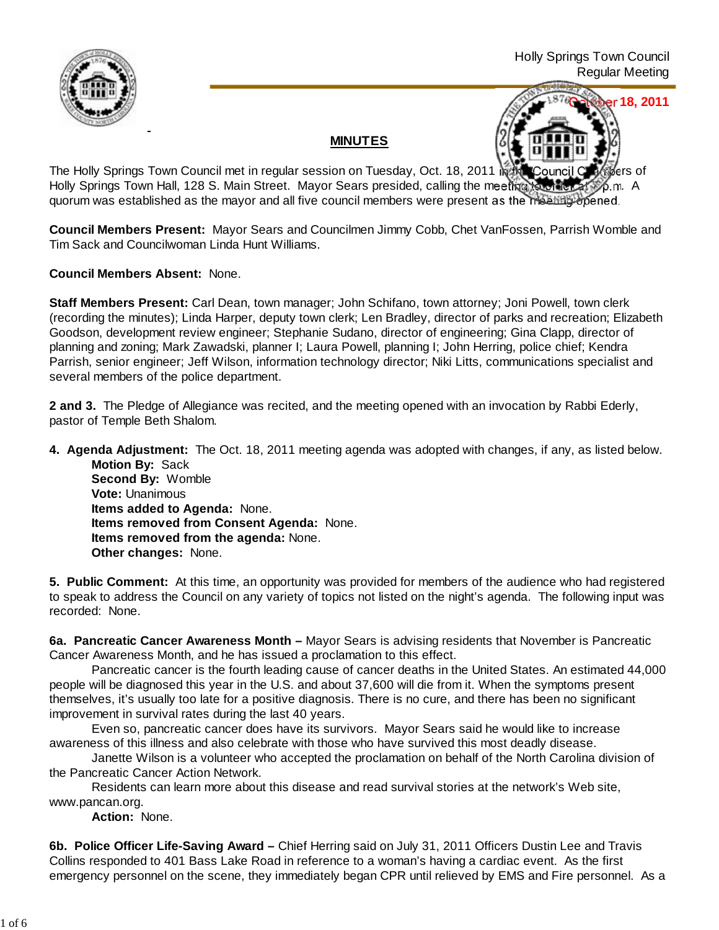

## **MINUTES**



The Holly Springs Town Council met in regular session on Tuesday, Oct. 18, 2011 in the Council Chambers of Holly Springs Town Hall, 128 S. Main Street. Mayor Sears presided, calling the meeting quorum was established as the mayor and all five council members were present as the meeting opened.

**Council Members Present:** Mayor Sears and Councilmen Jimmy Cobb, Chet VanFossen, Parrish Womble and Tim Sack and Councilwoman Linda Hunt Williams.

**Council Members Absent:** None.

**Staff Members Present:** Carl Dean, town manager; John Schifano, town attorney; Joni Powell, town clerk (recording the minutes); Linda Harper, deputy town clerk; Len Bradley, director of parks and recreation; Elizabeth Goodson, development review engineer; Stephanie Sudano, director of engineering; Gina Clapp, director of planning and zoning; Mark Zawadski, planner I; Laura Powell, planning I; John Herring, police chief; Kendra Parrish, senior engineer; Jeff Wilson, information technology director; Niki Litts, communications specialist and several members of the police department.

**2 and 3.** The Pledge of Allegiance was recited, and the meeting opened with an invocation by Rabbi Ederly, pastor of Temple Beth Shalom.

**4. Agenda Adjustment:** The Oct. 18, 2011 meeting agenda was adopted with changes, if any, as listed below. **Motion By: Sack** 

 **Second By:** Womble **Vote:** Unanimous **Items added to Agenda:** None. **Items removed from Consent Agenda:** None. **Items removed from the agenda:** None. **Other changes:** None.

**5. Public Comment:** At this time, an opportunity was provided for members of the audience who had registered to speak to address the Council on any variety of topics not listed on the night's agenda. The following input was recorded: None.

**6a. Pancreatic Cancer Awareness Month –** Mayor Sears is advising residents that November is Pancreatic Cancer Awareness Month, and he has issued a proclamation to this effect.

 Pancreatic cancer is the fourth leading cause of cancer deaths in the United States. An estimated 44,000 people will be diagnosed this year in the U.S. and about 37,600 will die from it. When the symptoms present themselves, it's usually too late for a positive diagnosis. There is no cure, and there has been no significant improvement in survival rates during the last 40 years.

 Even so, pancreatic cancer does have its survivors. Mayor Sears said he would like to increase awareness of this illness and also celebrate with those who have survived this most deadly disease.

 Janette Wilson is a volunteer who accepted the proclamation on behalf of the North Carolina division of the Pancreatic Cancer Action Network.

 Residents can learn more about this disease and read survival stories at the network's Web site, www.pancan.org.

 **Action:** None.

**6b. Police Officer Life-Saving Award –** Chief Herring said on July 31, 2011 Officers Dustin Lee and Travis Collins responded to 401 Bass Lake Road in reference to a woman's having a cardiac event. As the first emergency personnel on the scene, they immediately began CPR until relieved by EMS and Fire personnel. As a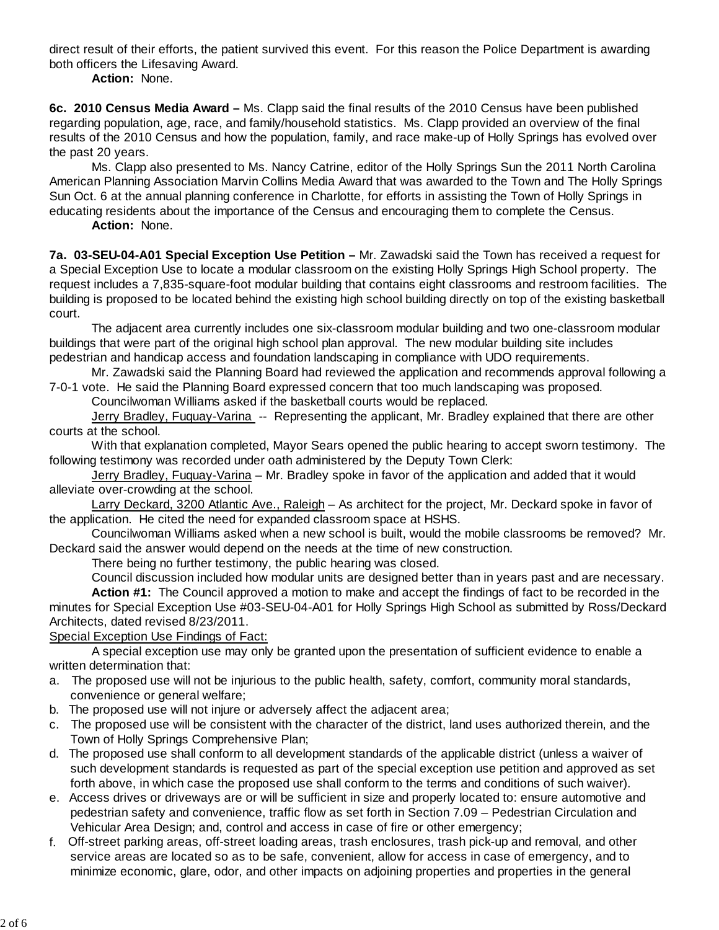direct result of their efforts, the patient survived this event. For this reason the Police Department is awarding both officers the Lifesaving Award.

 **Action:** None.

**6c. 2010 Census Media Award –** Ms. Clapp said the final results of the 2010 Census have been published regarding population, age, race, and family/household statistics. Ms. Clapp provided an overview of the final results of the 2010 Census and how the population, family, and race make-up of Holly Springs has evolved over the past 20 years.

 Ms. Clapp also presented to Ms. Nancy Catrine, editor of the Holly Springs Sun the 2011 North Carolina American Planning Association Marvin Collins Media Award that was awarded to the Town and The Holly Springs Sun Oct. 6 at the annual planning conference in Charlotte, for efforts in assisting the Town of Holly Springs in educating residents about the importance of the Census and encouraging them to complete the Census.

 **Action:** None.

**7a. 03-SEU-04-A01 Special Exception Use Petition –** Mr. Zawadski said the Town has received a request for a Special Exception Use to locate a modular classroom on the existing Holly Springs High School property. The request includes a 7,835-square-foot modular building that contains eight classrooms and restroom facilities. The building is proposed to be located behind the existing high school building directly on top of the existing basketball court.

The adjacent area currently includes one six-classroom modular building and two one-classroom modular buildings that were part of the original high school plan approval. The new modular building site includes pedestrian and handicap access and foundation landscaping in compliance with UDO requirements.

Mr. Zawadski said the Planning Board had reviewed the application and recommends approval following a 7-0-1 vote. He said the Planning Board expressed concern that too much landscaping was proposed.

Councilwoman Williams asked if the basketball courts would be replaced.

Jerry Bradley, Fuquay-Varina -- Representing the applicant, Mr. Bradley explained that there are other courts at the school.

With that explanation completed, Mayor Sears opened the public hearing to accept sworn testimony. The following testimony was recorded under oath administered by the Deputy Town Clerk:

Jerry Bradley, Fuquay-Varina – Mr. Bradley spoke in favor of the application and added that it would alleviate over-crowding at the school.

Larry Deckard, 3200 Atlantic Ave., Raleigh – As architect for the project, Mr. Deckard spoke in favor of the application. He cited the need for expanded classroom space at HSHS.

Councilwoman Williams asked when a new school is built, would the mobile classrooms be removed? Mr. Deckard said the answer would depend on the needs at the time of new construction.

There being no further testimony, the public hearing was closed.

 Council discussion included how modular units are designed better than in years past and are necessary. **Action #1:** The Council approved a motion to make and accept the findings of fact to be recorded in the

minutes for Special Exception Use #03-SEU-04-A01 for Holly Springs High School as submitted by Ross/Deckard Architects, dated revised 8/23/2011.

## Special Exception Use Findings of Fact:

 A special exception use may only be granted upon the presentation of sufficient evidence to enable a written determination that:

- a. The proposed use will not be injurious to the public health, safety, comfort, community moral standards, convenience or general welfare;
- b. The proposed use will not injure or adversely affect the adjacent area;
- c. The proposed use will be consistent with the character of the district, land uses authorized therein, and the Town of Holly Springs Comprehensive Plan;
- d. The proposed use shall conform to all development standards of the applicable district (unless a waiver of such development standards is requested as part of the special exception use petition and approved as set forth above, in which case the proposed use shall conform to the terms and conditions of such waiver).
- e. Access drives or driveways are or will be sufficient in size and properly located to: ensure automotive and pedestrian safety and convenience, traffic flow as set forth in Section 7.09 – Pedestrian Circulation and Vehicular Area Design; and, control and access in case of fire or other emergency;
- f. Off-street parking areas, off-street loading areas, trash enclosures, trash pick-up and removal, and other service areas are located so as to be safe, convenient, allow for access in case of emergency, and to minimize economic, glare, odor, and other impacts on adjoining properties and properties in the general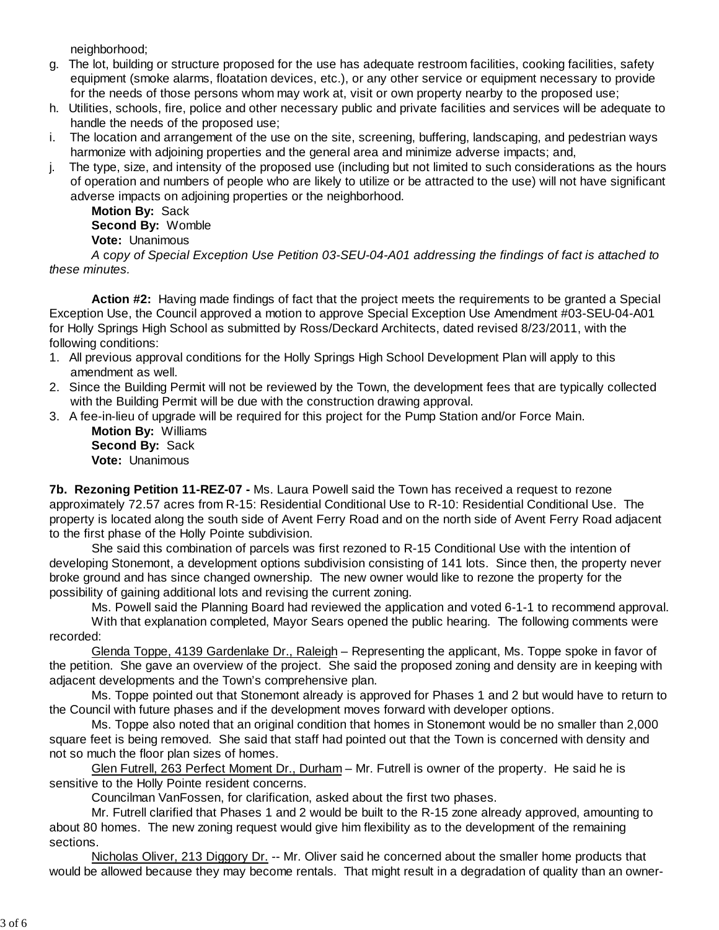neighborhood;

- g. The lot, building or structure proposed for the use has adequate restroom facilities, cooking facilities, safety equipment (smoke alarms, floatation devices, etc.), or any other service or equipment necessary to provide for the needs of those persons whom may work at, visit or own property nearby to the proposed use;
- h. Utilities, schools, fire, police and other necessary public and private facilities and services will be adequate to handle the needs of the proposed use;
- i. The location and arrangement of the use on the site, screening, buffering, landscaping, and pedestrian ways harmonize with adjoining properties and the general area and minimize adverse impacts; and,
- j. The type, size, and intensity of the proposed use (including but not limited to such considerations as the hours of operation and numbers of people who are likely to utilize or be attracted to the use) will not have significant adverse impacts on adjoining properties or the neighborhood.

**Motion By:** Sack **Second By:** Womble **Vote:** Unanimous

*A* c*opy of Special Exception Use Petition 03-SEU-04-A01 addressing the findings of fact is attached to these minutes.*

**Action #2:** Having made findings of fact that the project meets the requirements to be granted a Special Exception Use, the Council approved a motion to approve Special Exception Use Amendment #03-SEU-04-A01 for Holly Springs High School as submitted by Ross/Deckard Architects, dated revised 8/23/2011, with the following conditions:

- 1. All previous approval conditions for the Holly Springs High School Development Plan will apply to this amendment as well.
- 2. Since the Building Permit will not be reviewed by the Town, the development fees that are typically collected with the Building Permit will be due with the construction drawing approval.
- 3. A fee-in-lieu of upgrade will be required for this project for the Pump Station and/or Force Main.

**Motion By:** Williams **Second By:** Sack **Vote:** Unanimous

**7b. Rezoning Petition 11-REZ-07 -** Ms. Laura Powell said the Town has received a request to rezone approximately 72.57 acres from R-15: Residential Conditional Use to R-10: Residential Conditional Use. The property is located along the south side of Avent Ferry Road and on the north side of Avent Ferry Road adjacent to the first phase of the Holly Pointe subdivision.

 She said this combination of parcels was first rezoned to R-15 Conditional Use with the intention of developing Stonemont, a development options subdivision consisting of 141 lots. Since then, the property never broke ground and has since changed ownership. The new owner would like to rezone the property for the possibility of gaining additional lots and revising the current zoning.

Ms. Powell said the Planning Board had reviewed the application and voted 6-1-1 to recommend approval.

With that explanation completed, Mayor Sears opened the public hearing. The following comments were recorded:

Glenda Toppe, 4139 Gardenlake Dr., Raleigh – Representing the applicant, Ms. Toppe spoke in favor of the petition. She gave an overview of the project. She said the proposed zoning and density are in keeping with adjacent developments and the Town's comprehensive plan.

Ms. Toppe pointed out that Stonemont already is approved for Phases 1 and 2 but would have to return to the Council with future phases and if the development moves forward with developer options.

Ms. Toppe also noted that an original condition that homes in Stonemont would be no smaller than 2,000 square feet is being removed. She said that staff had pointed out that the Town is concerned with density and not so much the floor plan sizes of homes.

Glen Futrell, 263 Perfect Moment Dr., Durham – Mr. Futrell is owner of the property. He said he is sensitive to the Holly Pointe resident concerns.

Councilman VanFossen, for clarification, asked about the first two phases.

Mr. Futrell clarified that Phases 1 and 2 would be built to the R-15 zone already approved, amounting to about 80 homes. The new zoning request would give him flexibility as to the development of the remaining sections.

Nicholas Oliver, 213 Diggory Dr. -- Mr. Oliver said he concerned about the smaller home products that would be allowed because they may become rentals. That might result in a degradation of quality than an owner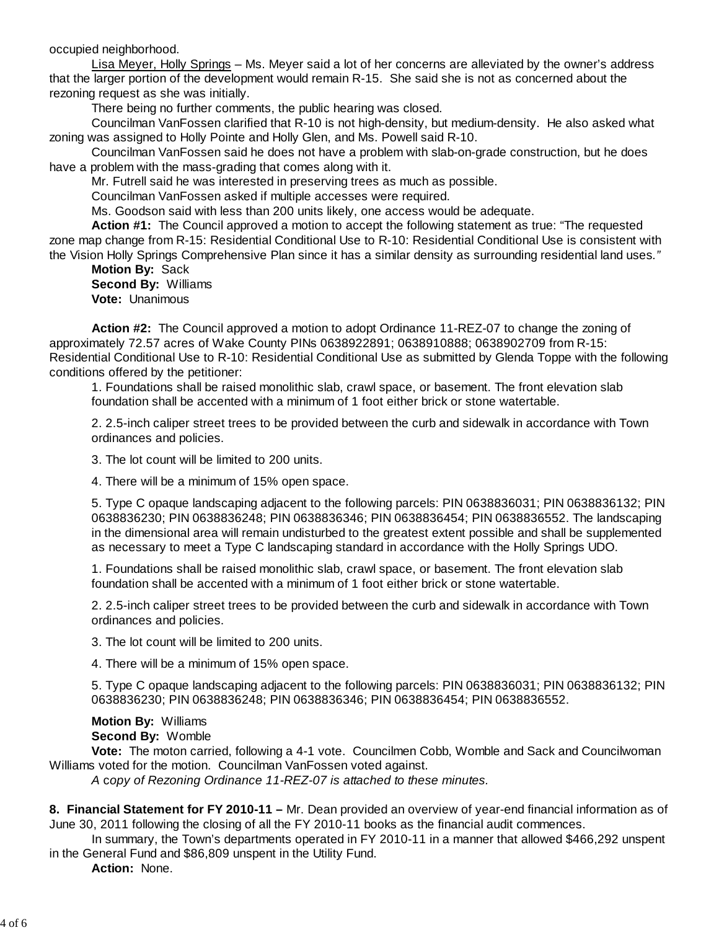occupied neighborhood.

Lisa Meyer, Holly Springs – Ms. Meyer said a lot of her concerns are alleviated by the owner's address that the larger portion of the development would remain R-15. She said she is not as concerned about the rezoning request as she was initially.

There being no further comments, the public hearing was closed.

Councilman VanFossen clarified that R-10 is not high-density, but medium-density. He also asked what zoning was assigned to Holly Pointe and Holly Glen, and Ms. Powell said R-10.

Councilman VanFossen said he does not have a problem with slab-on-grade construction, but he does have a problem with the mass-grading that comes along with it.

Mr. Futrell said he was interested in preserving trees as much as possible.

Councilman VanFossen asked if multiple accesses were required.

Ms. Goodson said with less than 200 units likely, one access would be adequate.

**Action #1:** The Council approved a motion to accept the following statement as true: "The requested zone map change from R-15: Residential Conditional Use to R-10: Residential Conditional Use is consistent with

the Vision Holly Springs Comprehensive Plan since it has a similar density as surrounding residential land uses*."* **Motion By:** Sack **Second By:** Williams

**Vote:** Unanimous

 **Action #2:** The Council approved a motion to adopt Ordinance 11-REZ-07 to change the zoning of approximately 72.57 acres of Wake County PINs 0638922891; 0638910888; 0638902709 from R-15: Residential Conditional Use to R-10: Residential Conditional Use as submitted by Glenda Toppe with the following conditions offered by the petitioner:

1. Foundations shall be raised monolithic slab, crawl space, or basement. The front elevation slab foundation shall be accented with a minimum of 1 foot either brick or stone watertable.

2. 2.5-inch caliper street trees to be provided between the curb and sidewalk in accordance with Town ordinances and policies.

3. The lot count will be limited to 200 units.

4. There will be a minimum of 15% open space.

5. Type C opaque landscaping adjacent to the following parcels: PIN 0638836031; PIN 0638836132; PIN 0638836230; PIN 0638836248; PIN 0638836346; PIN 0638836454; PIN 0638836552. The landscaping in the dimensional area will remain undisturbed to the greatest extent possible and shall be supplemented as necessary to meet a Type C landscaping standard in accordance with the Holly Springs UDO.

1. Foundations shall be raised monolithic slab, crawl space, or basement. The front elevation slab foundation shall be accented with a minimum of 1 foot either brick or stone watertable.

2. 2.5-inch caliper street trees to be provided between the curb and sidewalk in accordance with Town ordinances and policies.

3. The lot count will be limited to 200 units.

4. There will be a minimum of 15% open space.

5. Type C opaque landscaping adjacent to the following parcels: PIN 0638836031; PIN 0638836132; PIN 0638836230; PIN 0638836248; PIN 0638836346; PIN 0638836454; PIN 0638836552.

**Motion By:** Williams **Second By:** Womble

**Vote:** The moton carried, following a 4-1 vote. Councilmen Cobb, Womble and Sack and Councilwoman Williams voted for the motion. Councilman VanFossen voted against.

*A* c*opy of Rezoning Ordinance 11-REZ-07 is attached to these minutes.*

**8. Financial Statement for FY 2010-11 –** Mr. Dean provided an overview of year-end financial information as of June 30, 2011 following the closing of all the FY 2010-11 books as the financial audit commences.

 In summary, the Town's departments operated in FY 2010-11 in a manner that allowed \$466,292 unspent in the General Fund and \$86,809 unspent in the Utility Fund.

**Action:** None.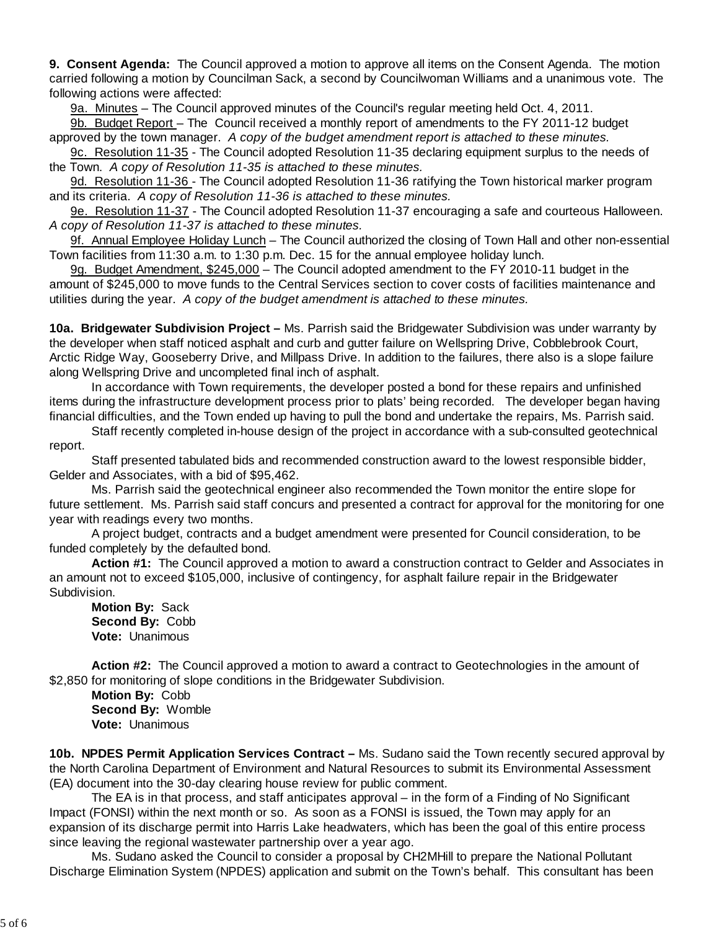**9. Consent Agenda:** The Council approved a motion to approve all items on the Consent Agenda. The motion carried following a motion by Councilman Sack, a second by Councilwoman Williams and a unanimous vote. The following actions were affected:

9a. Minutes – The Council approved minutes of the Council's regular meeting held Oct. 4, 2011.

9b. Budget Report – The Council received a monthly report of amendments to the FY 2011-12 budget approved by the town manager. *A copy of the budget amendment report is attached to these minutes.*

9c. Resolution 11-35 - The Council adopted Resolution 11-35 declaring equipment surplus to the needs of the Town. *A copy of Resolution 11-35 is attached to these minutes.*

9d. Resolution 11-36 - The Council adopted Resolution 11-36 ratifying the Town historical marker program and its criteria.*A copy of Resolution 11-36 is attached to these minutes.*

9e. Resolution 11-37 - The Council adopted Resolution 11-37 encouraging a safe and courteous Halloween. *A copy of Resolution 11-37 is attached to these minutes.*

9f. Annual Employee Holiday Lunch – The Council authorized the closing of Town Hall and other non-essential Town facilities from 11:30 a.m. to 1:30 p.m. Dec. 15 for the annual employee holiday lunch.

9g. Budget Amendment, \$245,000 – The Council adopted amendment to the FY 2010-11 budget in the amount of \$245,000 to move funds to the Central Services section to cover costs of facilities maintenance and utilities during the year. *A copy of the budget amendment is attached to these minutes.*

**10a. Bridgewater Subdivision Project –** Ms. Parrish said the Bridgewater Subdivision was under warranty by the developer when staff noticed asphalt and curb and gutter failure on Wellspring Drive, Cobblebrook Court, Arctic Ridge Way, Gooseberry Drive, and Millpass Drive. In addition to the failures, there also is a slope failure along Wellspring Drive and uncompleted final inch of asphalt.

In accordance with Town requirements, the developer posted a bond for these repairs and unfinished items during the infrastructure development process prior to plats' being recorded. The developer began having financial difficulties, and the Town ended up having to pull the bond and undertake the repairs, Ms. Parrish said.

Staff recently completed in-house design of the project in accordance with a sub-consulted geotechnical report.

Staff presented tabulated bids and recommended construction award to the lowest responsible bidder, Gelder and Associates, with a bid of \$95,462.

Ms. Parrish said the geotechnical engineer also recommended the Town monitor the entire slope for future settlement. Ms. Parrish said staff concurs and presented a contract for approval for the monitoring for one year with readings every two months.

A project budget, contracts and a budget amendment were presented for Council consideration, to be funded completely by the defaulted bond.

**Action #1:** The Council approved a motion to award a construction contract to Gelder and Associates in an amount not to exceed \$105,000, inclusive of contingency, for asphalt failure repair in the Bridgewater Subdivision.

 **Motion By:** Sack  **Second By:** Cobb  **Vote:** Unanimous

**Action #2:** The Council approved a motion to award a contract to Geotechnologies in the amount of \$2,850 for monitoring of slope conditions in the Bridgewater Subdivision.

**Motion By:** Cobb  **Second By:** Womble  **Vote:** Unanimous

**10b. NPDES Permit Application Services Contract –** Ms. Sudano said the Town recently secured approval by the North Carolina Department of Environment and Natural Resources to submit its Environmental Assessment (EA) document into the 30-day clearing house review for public comment.

The EA is in that process, and staff anticipates approval – in the form of a Finding of No Significant Impact (FONSI) within the next month or so. As soon as a FONSI is issued, the Town may apply for an expansion of its discharge permit into Harris Lake headwaters, which has been the goal of this entire process since leaving the regional wastewater partnership over a year ago.

Ms. Sudano asked the Council to consider a proposal by CH2MHill to prepare the National Pollutant Discharge Elimination System (NPDES) application and submit on the Town's behalf. This consultant has been